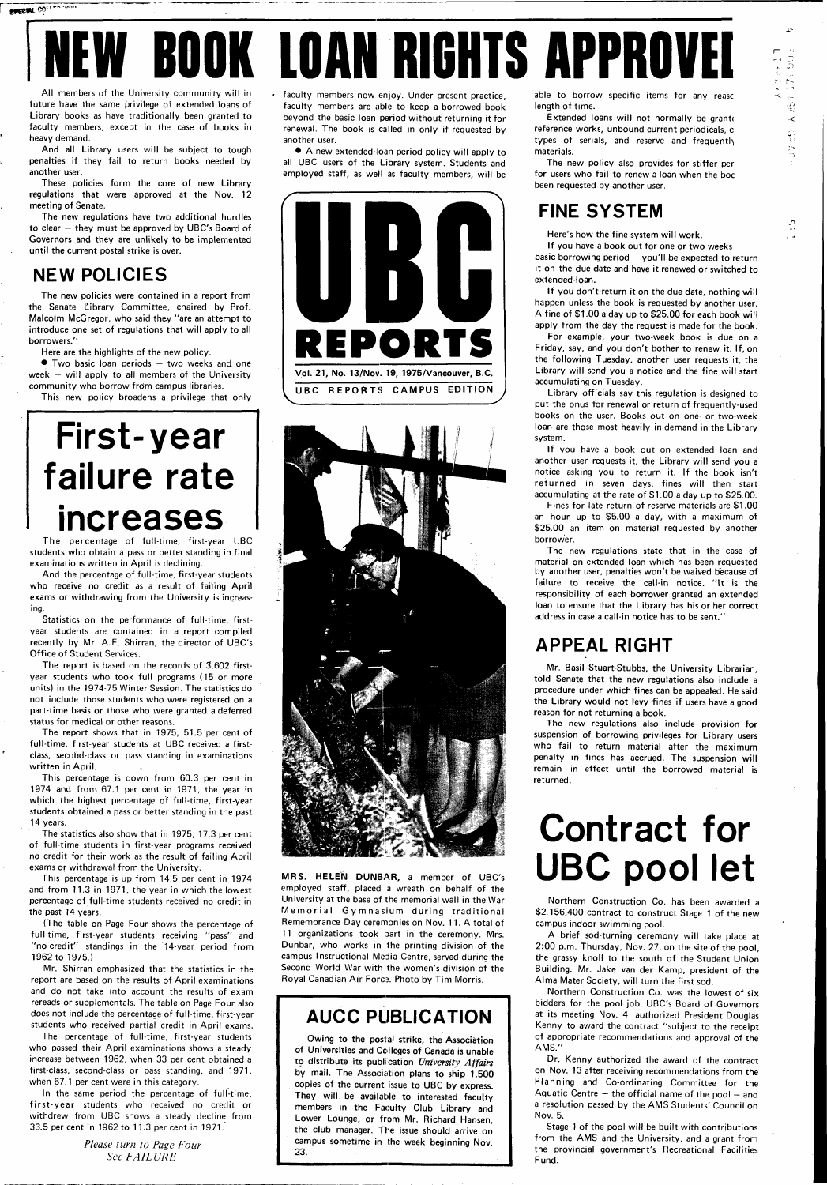# **EW BOOK LOAN RIGHTS APPROVEI**

All members of the University community will in future have the same privilege of extended loans of Library books as have traditionally been granted to faculty members, except in the case of books in heavy demand.

And all Library users will be subject to tough penalties if they fail to return books needed by another user.

These policies form the core of new Library regulations that were approved at the Nov. 12 meeting of Senate.

• Two basic loan periods — two weeks and. one week  $-$  will apply to all members of the University community who borrow from campus libraries.

The new regulations have two additional hurdles to clear — they must be approved by UBC's Board of Governors and they are unlikely to be implemented until the current postal strike is over.

#### **NEW POLICIES**

*s* secial CO! **Products** 

The new policies were contained in a report from the Senate Library Committee, chaired by Prof. Malcolm McGregor, who said they "are an attempt to introduce one set of regulations that will apply to all borrowers."

Here are the highlights of the new policy.

This new policy broadens a privilege that only

# **First-year failure rate increases**

The percentage of full-time, first-year UBC students who obtain a pass or better standing in final examinations written in April is declining.

And the percentage of full-time, first-year students who receive no credit as a result of failing April exams or withdrawing from the University is increasing.

Statistics on the performance of full-time, firstyear students are contained in a report compiled recently by Mr. A.F. Shirran, the director of UBC's Office of Student Services.

The report is based on the records of 3,602 firstyear students who took full programs (15 or more units) in the 1974-75 Winter Session. The statistics do not include those students who were registered on a part-time basis or those who were granted a deferred status for medical or other reasons.

The report shows that in 1975, 51.5 per cent of full-time, first-year students at UBC received a firstclass, secohd-class or pass standing in examinations written in April.

This percentage is down from 60.3 per cent in 1974 and from 67.1 per cent in 1971, the year in which the highest percentage of full-time, first-year students obtained a pass or better standing in the past 14 years.

The statistics also show that in 1975, 17.3 per cent of full-time students in first-year programs received no credit for their work as the result of failing April exams or withdrawal from the University.

Extended loans will not normally be grante reference works, unbound current periodicals, c types of serials, and reserve and frequently materials.

This percentage is up from 14.5 per cent in 1974 and from 11.3 in 1971, the year in which the lowest percentage of full-time students received no credit in the past 14 years.

(The table on Page Four shows the percentage of

full-time, first-year students receiving "pass" and "no-credit" standings in the 14-year period from 1962 to 1975.)

Mr. Shirran emphasized that the statistics in the report are based on the results of April examinations and do not take into account the results of exam rereads or supplementals. The table on Page Four also does not include the percentage of full-time, first-year students who received partial credit in April exams.

The percentage of full-time, first-year students who passed their April examinations shows a steady increase between 1962, when 33 per cent obtained a first-class, second-class or pass standing, and 1971, when 67.1 per cent were in this category.

In the same period the percentage of full-time, first-year students who received no credit or withdrew from UBC shows a steady decline from 33.5 percent in 1962 to 11.3 percent in 1971.'

> *Please turn to Page Four See FAILURE*

faculty members now enjoy. Under present practice, faculty members are able to keep a borrowed book beyond the basic loan period without returning it for renewal. The book is called in only if requested by another user.

• A new extended-loan period policy will apply to all UBC users of the Library system. Students and employed staff, as well as faculty members, will be





**MRS. HELEN DUNBAR,** a member of UBC's employed staff, placed a wreath on behalf of the University at the base of the memorial wall in the War Memorial Gymnasium during traditional Remembrance Day ceremonies on Nov. 11. A total of 11 organizations took part in the ceremony. Mrs. Dunbar, who works in the printing division of the campus Instructional Media Centre, served during the Second World War with the women's division of the Royal Canadian Air Force. Photo by Tim Morris.

#### **AUCC PUBLICATION**

Owing to the postal strike, the Association of Universities and Colleges of Canada is unable to distribute its publication University Affairs by mail. The Association plans to ship 1,500 copies of the current issue to UBC by express. They will be available to interested faculty members in the Faculty Club Library and Lower Lounge, or from Mr. Richard Hansen, the club manager. The issue should arrive on campus sometime in the week beginning Nov. 23.

able to borrow specific items for any reasc length of time.

 $\overline{P}$ 

**HORUNGARK CRASS** 

The new policy also provides for stiffer per for users who fail to renew a loan when the boc been requested by another user.

#### **FINE SYSTEM**

Here's how the fine system will work.

If you have a book out for one or two weeks basic borrowing period — you'll be expected to return it on the due date and have it renewed or switched to extended-loan.

If you don't return it on the due date, nothing will happen unless the book is requested by another user. A fine of \$1.00 a day up to \$25.00 for each book will apply from the day the request is made for the book.

For example, your two-week book is due on a Friday, say, and you don't bother to renew it. If, on the following Tuesday, another user requests it, the Library will send you a notice and the fine will start accumulating on Tuesday.

Library officials say this regulation is designed to put the onus for renewal or return of frequently-used books on the user. Books out on one- or two-week loan are those most heavily in demand in the Library system.

If you have a book out on extended loan and another user requests it, the Library will send you a notice asking you to return it. If the book isn't returned in seven days, fines will then start accumulating at the rate of \$1.00 a day up to \$25.00.

Fines for late return of reserve materials are \$1.00 an hour up to \$5.00 a day, with a maximum of \$25.00 an item on material requested by another borrower.

The new regulations state that in the case of material on extended loan which has been requested by another user, penalties won't be waived because of failure to receive the call-in notice. "It is the responsibility of each borrower granted an extended loan to ensure that the Library has his or her correct address in case a call-in notice has to be sent."

#### **APPEAL RIGHT**

Mr. Basil Stuart-Stubbs, the University Librarian, told Senate that the new regulations also include a procedure under which fines can be appealed. He said the Library would not levy fines if users have a good reason for not returning a book.

The new regulations also include provision for suspension of borrowing privileges for Library users who fail to return material after the maximum penalty in fines has accrued. The suspension will remain in effect until the borrowed material is returned.

## **Contract for UBC pool let**

Northern Construction Co. has been awarded a \$2,156,400 contract to construct Stage 1 of the new campus indoor swimming pool.

A brief sod-turning ceremony will take place at 2:00 p.m. Thursday, Nov. 27, on the site of the pool, the grassy knoll to the south of the Student Union Building. Mr. Jake van der Kamp, president of the Alma Mater Society, will turn the first sod.

Northern Construction Co. was the lowest of six bidders for the pool job. UBC's Board of Governors at its meeting Nov. 4 authorized President Douglas Kenny to award the contract "subject to the receipt of appropriate recommendations and approval of the AMS."

Dr. Kenny authorized the award of the contract on Nov. 13 after receiving recommendations from the Planning and Co-ordinating Committee for the Aquatic Centre  $-$  the official name of the pool  $-$  and a resolution passed by the AMS Students' Council on Nov. 5.

Stage 1 of the pool will be built with contributions from the AMS and the University, and a grant from the provincial government's Recreational Facilities Fund.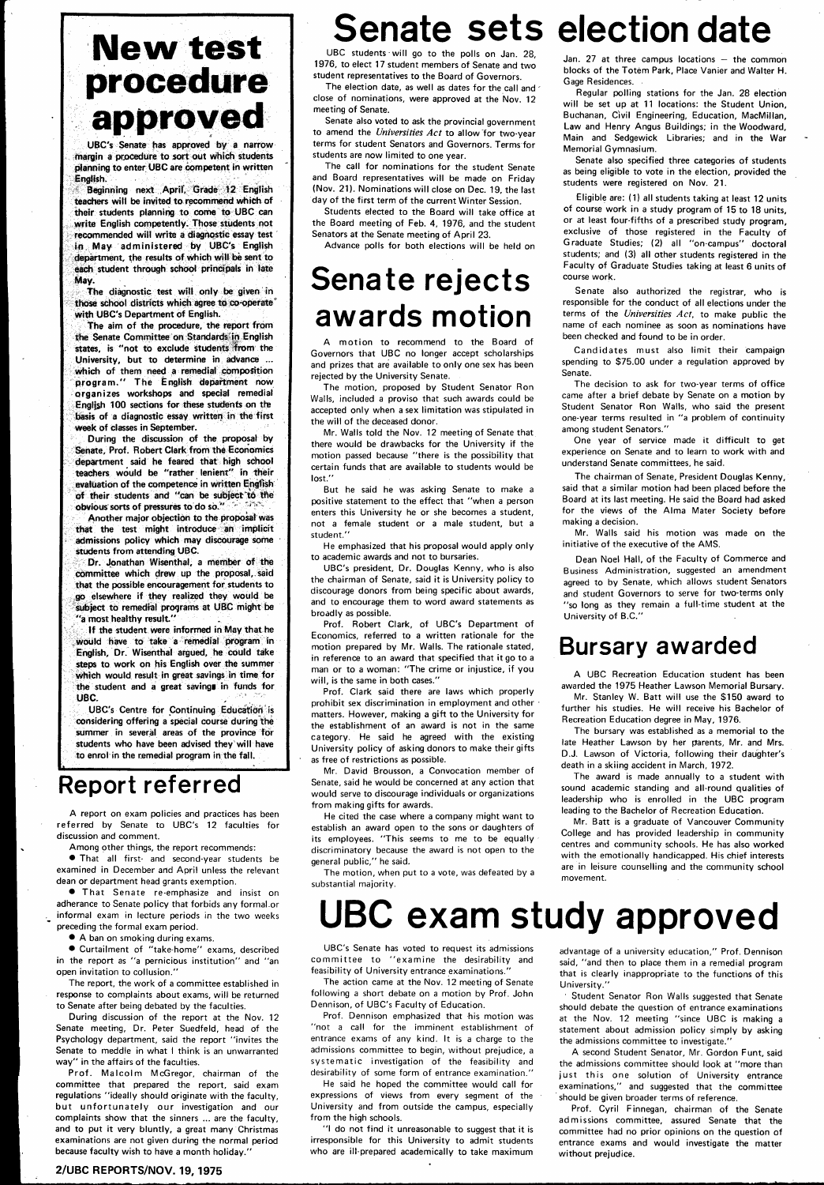### **New test procedure approved**

**UBC's Senate has approved by a narrow**  margin a procedure to sort out which students **planning to enter UBC are competent in written English.** 

Beginning next April, Grade 12 English **teachers wilt be invited to recommend which of their students planning to come to UBC can write English competently. Those students not recommended will write a diagnostic essay test in May administered by UBC's English department, the results of which will be sent to each student through school principals in late May.** 

**During the discussion of the proposal by Senate, Prof. Robert Clark from the Economics department said he feared that high school teachers would be "rather lenient" in their evaluation of the competence in written English of their students and "can be subject t6 the obvious sorts of pressures to do so."** 

**The diagnostic test will only be given in those school** districts **which agree to co-operate' with UBC's Department of English.** 

**The aim of the procedure, the report from the Senate Committee on Standards in English**  states, is "not to exclude students from the **University, but to determine in advance ... which of them need a remedial composition program. " The English department now organizes workshops and special remedial English 100 sections for these students on** the **basis of a diagnostic essay written in the first week of classes in September.** 

**•** That Senate re-emphasize and insist on adherance to Senate policy that forbids any formal.or informal exam in lecture periods in the two weeks preceding the formal exam period.

**Another major objection to the proposal was that the test might introduce an implicit admissions policy which may discourage some students from attending UBC.** 

During discussion of the report at the Nov. 12 Senate meeting. Dr. Peter Suedfeld, head of the Psychology department, said the report "invites the Senate to meddle in what I think is an unwarranted way" in the affairs of the faculties.

**Dr. Jonathan Wisenthal, a member of the committee which drew up the proposal,.said**  that the possible encouragement for students to **go elsewhere if they realized they would be subject to remedial programs at UBC might be "a most healthy result."** 

Prof. Malcolm McGregor, chairman of the committee that prepared the report, said exam regulations "ideally should originate with the faculty, but unfortunately our investigation and our complaints show that the sinners ... are the faculty, and to put it very bluntly, a great many Christmas examinations are not given during the normal period because faculty wish to have a month holiday."

**If the student were informed in May that he would have to take a remedial program in English, Dr. Wisenthal argued, he could take**  steps to work on his English over the summer **which would** result **in great savings in time for**  the student and a great saving in funds for **UBC.** 

The election date, as well as dates for the call and close of nominations, were approved at the Nov. 12 meeting of Senate.

**UBC's Centre for Continuing Education is considering offering a special course during the summer in several areas of the province for students who have been advised they will have to enrol in the** remedial program **in the fall.** 

### **Report referred**

A report on exam policies and practices has been referred by Senate to UBC's 12 faculties for discussion and comment.

A motion to recommend to the Board of Governors that UBC no longer accept scholarships and prizes that are available to only one sex has been rejected by the University Senate.

Among other things, the report recommends:

• That all first- and second-year students be examined in December and April unless the relevant dean or department head grants exemption.

• A ban on smoking during exams.

• Curtailment of "take-home" exams, described in the report as "a pernicious institution" and "an open invitation to collusion."

The report, the work of a committee established in response to complaints about exams, will be returned to Senate after being debated by the faculties.

#### Senate sets election date UBC students will go to the polls on Jan. 28,

Senate also specified three categories of students as being eligible to vote in the election, provided the students were registered on Nov. 21.

#### **2/UBC REPORTS/NOV. 19, 1975**

1976, to elect 17 student members of Senate and two student representatives to the Board of Governors.

Senate also voted to ask the provincial government to amend the Universities Act to allow for two-year terms for student Senators and Governors. Terms for students are now limited to one year.

The call for nominations for the student Senate and Board representatives will be made on Friday (Nov. 21). Nominations will close on Dec. 19, the last day of the first term of the current Winter Session.

Students elected to the Board will take office at the Board meeting of Feb. 4, 1976, and the student Senators at the Senate meeting of April 23.

Advance polls for both elections will be held on

### **Senate rejects awards motion**

The motion, proposed by Student Senator Ron Walls, included a proviso that such awards could be accepted only when a sex limitation was stipulated in the will of the deceased donor.

Mr. Walls told the Nov. 12 meeting of Senate that there would be drawbacks for the University if the motion passed because "there is the possibility that certain funds that are available to students would be lost."

But he said he was asking Senate to make a positive statement to the effect that "when a person enters this University he or she becomes a student, not a female student or a male student, but a student."

He emphasized that his proposal would apply only to academic awards and not to bursaries.

UBC's president. Dr. Douglas Kenny, who is also the chairman of Senate, said it is University policy to discourage donors from being specific about awards, and to encourage them to word award statements as broadly as possible.

Prof. Robert Clark, of UBC's Department of Economics, referred to a written rationale for the motion prepared by Mr. Walls. The rationale stated, in reference to an award that specified that it go to a man or to a woman: "The crime or injustice, if you will, is the same in both cases."

Prof. Clark said there are laws which properly prohibit sex discrimination in employment and other • matters. However, making a gift to the University for the establishment of an award is not in the same category. He said he agreed with the existing University policy of asking donors to make their gifts as free of restrictions as possible.

Mr. David Brousson, a Convocation member of Senate, said he would be concerned at any action that would serve to discourage individuals or organizations from making gifts for awards.

He cited the case where a company might want to establish an award open to the sons or daughters of its employees. "This seems to me to be equally discriminatory because the award is not open to the general public," he said.

The motion, when put to a vote, was defeated by a substantial majority.

#### Jan. 27 at three campus locations — the common blocks of the Totem Park, Place Vanier and Walter H. Gage Residences.

Regular polling stations for the Jan. 28 election will be set up at 11 locations: the Student Union, Buchanan, Civil Engineering, Education, MacMillan, Law and Henry Angus Buildings; in the Woodward, Main and Sedgewick Libraries; and in the War Memorial Gymnasium.

Eligible are: (1) all students taking at least 12 units of course work in a study program of 15 to 18 units, or at least four-fifths of a prescribed study program, exclusive of those registered in the Faculty of Graduate Studies; (2) all "on-campus" doctoral students; and (3) all other students registered in the Faculty of Graduate Studies taking at least 6 units of course work.

Senate also authorized the registrar, who is responsible for the conduct of all elections under the terms of the Universities Act, to make public the name of each nominee as soon as nominations have been checked and found to be in order.

Candidates must also limit their campaign spending to \$75.00 under a regulation approved by Senate.

The decision to ask for two-year terms of office came after a brief debate by Senate on a motion by Student Senator Ron Walls, who said the present one-year terms resulted in "a problem of continuity among student Senators."

One year of service made it difficult to get experience on Senate and to learn to work with and understand Senate committees, he said.

The chairman of Senate, President Douglas Kenny, said that a similar motion had been placed before the Board at its last meeting. He said the Board had asked for the views of the Alma Mater Society before making a decision.

Mr. Walls said his motion was made on the initiative of the executive of the AMS.

Dean Noel Hall, of the Faculty of Commerce and Business Administration, suggested an amendment agreed to by Senate, which allows student Senators and student Governors to serve for two-terms only "so long as they remain a full-time student at the University of B.C."

### **Bursary awarded**

A UBC Recreation Education student has been awarded the 1975 Heather Lawson Memorial Bursary.

Mr. Stanley W. Batt will use the \$150 award to further his studies. He will receive his Bachelor of Recreation Education degree in May, 1976.

The bursary was established as a memorial to the late Heather Lawson by her parents, Mr. and Mrs. D.J. Lawson of Victoria, following their daughter's death in a skiing accident in March, 1972.

The award is made annually to a student with sound academic standing and all-round qualities of leadership who is enrolled in the UBC program leading to the Bachelor of Recreation Education.

Mr. Batt is a graduate of Vancouver Community College and has provided leadership in community centres and community schools. He has also worked with the emotionally handicapped. His chief interests are in leisure counselling and the community school movement.

### UBC exam study approved

UBC's Senate has voted to request its admissions committee to "examine the desirability and feasibility of University entrance examinations."

The action came at the Nov. 12 meeting of Senate following a short debate on a motion by Prof. John Dennison, of UBC's Faculty of Education.

Prof. Dennison emphasized that his motion was "not a call for the imminent establishment of entrance exams of any kind. It is a charge to the admissions committee to begin, without prejudice, a systematic investigation of the feasibility and desirability of some form of entrance examination."

He said he hoped the committee would call for expressions of views from every segment of the University and from outside the campus, especially from the high schools.

"I do not find it unreasonable to suggest that it is irresponsible for this University to admit students who are ill-prepared academically to take maximum

advantage of a university education," Prof. Dennison said, "and then to place them in a remedial program that is clearly inappropriate to the functions of this University."

Student Senator Ron Walls suggested that Senate should debate the question of entrance examinations at the Nov. 12 meeting "since UBC is making a statement about admission policy simply by asking the admissions committee to investigate."

A second Student Senator, Mr. Gordon Funt, said the admissions committee should look at "more than just this one solution of University entrance examinations," and suggested that the committee should be given broader terms of reference.

Prof. Cyril Finnegan, chairman of the Senate admissions committee, assured Senate that the committee had no prior opinions on the question of entrance exams and would investigate the matter without prejudice.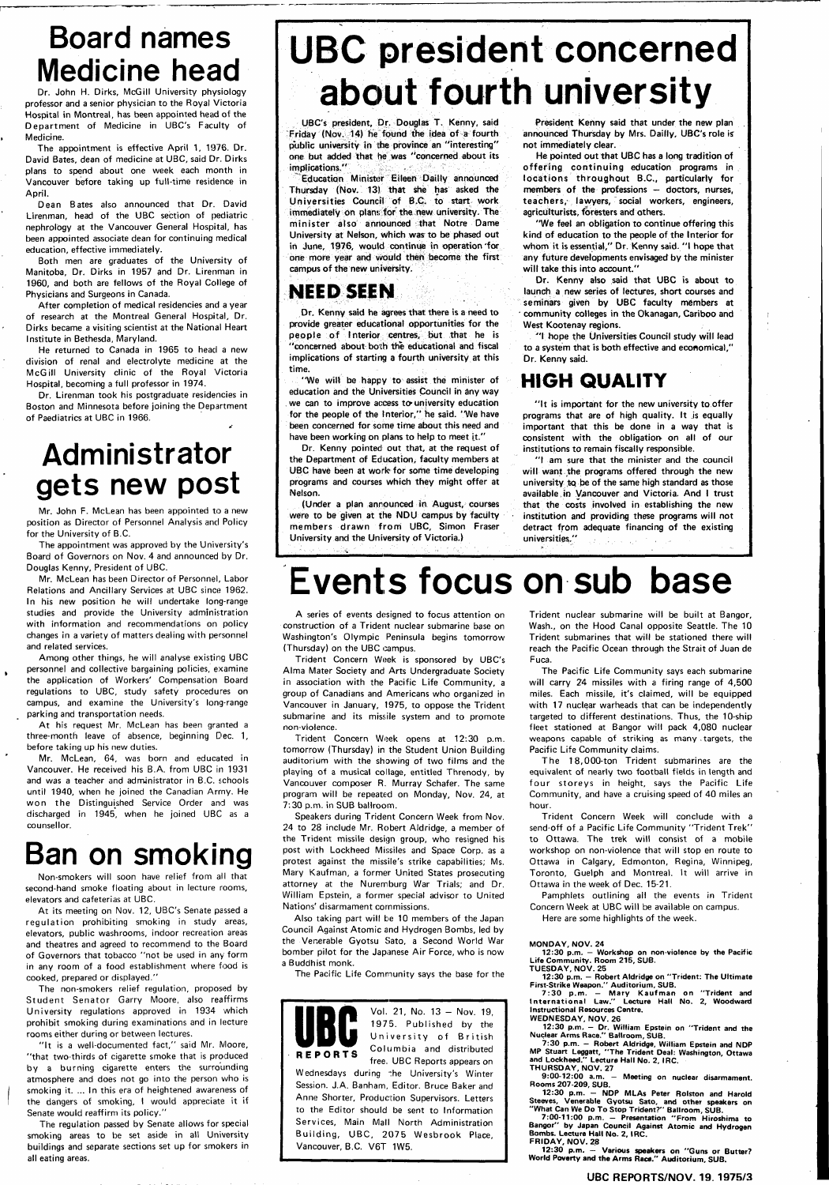### **Board names Medicine head**

Dr. John H. Dirks, McGill University physiology professor and a senior physician to the Royal Victoria Hospital in Montreal, has been appointed head of the Department of Medicine in UBC's Faculty of Medicine.

The appointment is effective April 1, 1976. Dr. David Bates, dean of medicine at UBC, said Dr. Dirks plans to spend about one week each month in Vancouver before taking up full-time residence in April.

Dean Bates also announced that Dr. David Lirenman, head of the UBC section of pediatric nephrology at the Vancouver General Hospital, has been appointed associate dean for continuing medical education, effective immediately.

Both men are graduates of the University of Manitoba, Dr. Dirks in 1957 and Dr. Lirenman in 1960, and both are fellows of the Royal College of Physicians and Surgeons in Canada.

After completion of medical residencies and a year of research at the Montreal General Hospital, Dr. Dirks became a visiting scientist at the National Heart Institute in Bethesda, Maryland.

He returned to Canada in 1965 to head a new division of renal and electrolyte medicine at the McGill University clinic of the Royal Victoria Hospital, becoming a full professor in 1974.

Dr. Lirenman took his postgraduate residencies in Boston and Minnesota before joining the Department of Paediatrics at UBC in 1966.

### **Administrator gets new post**

Mr. John F. McLean has been appointed to a new position as Director of Personnel Analysis and Policy for the University of B.C.

The appointment was approved by the University's Board of Governors on Nov. 4 and announced by Dr. Douglas Kenny, President of UBC.

Mr. McLean has been Director of Personnel, Labor Relations and Ancillary Services at UBC since 1962. In his new position he will undertake long-range studies and provide the University administration with information and recommendations on policy changes in a variety of matters dealing with personnel and related services.

"It is a well-documented fact," said Mr. Moore, "that two-thirds of cigarette smoke that is produced by a burning cigarette enters the surrounding atmosphere and does not go into the person who is smoking it. ... In this era of heightened awareness of the dangers of smoking, I would appreciate it if Senate would reaffirm its policy."

Among other things, he will analyse existing UBC personnel and collective bargaining policies, examine the application of Workers' Compensation Board regulations to UBC, study safety procedures on campus, and examine the University's long-range parking and transportation needs.

At his request Mr. McLean has been granted a three-month leave of absence, beginning Dec. 1, before taking up his new duties.

Mr. McLean, 64, was born and educated in Vancouver. He received his B.A. from UBC in 1931 and was a teacher and administrator in B.C. schools until 1940, when he joined the Canadian Arrny. He won the Distinguished Service Order and was discharged in 1945, when he joined UBC as a counsellor.

"We will be happy to assist the minister of education and the Universities Council in any way we can to improve access to university education for the people of the Interior," he said. "We have been concerned for some time about this need and have been working on plans to help to meet it."

### **Ban on smoking**

Non-smokers will soon have relief from all that second-hand smoke floating about in lecture rooms, elevators and cafeterias at UBC.

"We feet an obligation to continue offering this kind of education to the people of the Interior for whom it is essential," Dr. Kenny said. "I hope that any future developments envisaged by the minister will take this into account."

At its meeting on Nov. 12, UBC's Senate passed a equlation prohibiting smoking in study areas, elevators, public washrooms, indoor recreation areas and theatres and agreed to recommend to the Board of Governors that tobacco "not be used in any form in any room of a food establishment where food is cooked, prepared or displayed."

Dr. Kenny also said that UBC is about to launch a new series of lectures, short courses and seminars given by UBC faculty members at ' community colleges in the Okanagan, Cariboo and West Kootenay regions.

"I hope the Universities Council study will lead to a system that is both effective and economical," Dr. Kenny said.

The non-smokers relief regulation, proposed by Student Senator Garry Moore, also reaffirms University regulations approved in 1934 which prohibit smoking during examinations and in lecture rooms either during or between lectures.

"It is important for the new university to offer programs that are of high quality. It js equally important that this be done in a way that is consistent with the obligation- on all of our institutions to remain fiscally responsible.

"I am sure that the minister and the council will want the programs offered through the new university to be of the same high standard as those available,in Vancouver and Victoria. And I trust that the costs involved in establishing the new institution and providing these programs will not detract from adequate financing of the existing universities."

The regulation passed by Senate allows for special smoking areas to be set aside in all University buildings and separate sections set up for smokers in all eating areas.

# **UBC president concerned about fourth university**

UBC's president. Dr. Douglas T. Kenny, said Friday (Nov. 14) he found the idea of a fourth public university in the province an "interesting" one but added that he was "concerned about its implications."

Education Minister Eileen Dailly announced Thursday (Nov. 13) that she has asked the Universities Council of B.C. to start work immediately on plans for the new university. The minister also announced that Notre Dame University at Nelson, which was to be phased out in June, 1976, would continue in operation for one more year and would then become the first campus of the new university.

#### **NEED SEEN**

Dr. Kenny said he agrees that there is a need to provide greater educational opportunities for the people of Interior centres, but that he is "concerned about both the educational and fiscal implications of starting a fourth university at this time.

> The 18,000-ton Trident submarines are the equivalent of nearly two football fields in length and four storeys in height, says the Pacific Life Community, and have a cruising speed of 40 miles an hour.

Dr. Kenny pointed out that, at the request of the Department of Education, faculty members at UBC have been at work for some time developing programs and courses which they might offer at Nelson.

(Under a plan announced in August, courses were to be given at the NDU campus by faculty members drawn from UBC, Simon Fraser University and the University of Victoria.)

President Kenny said that under the new plan announced Thursday by Mrs. Dailly, UBC's role is not immediately clear.

He pointed out that UBC has a long tradition of offering continuing education programs in locations throughout B.C., particularly for members of the professions — doctors, nurses, teachers, lawyers, social workers, engineers, agriculturists, foresters and others.

#### **HIGH QUALITY**

**Events focus on sub base** 

A series of events designed to focus attention on construction of a Trident nuclear submarine base on Washington's Olympic Peninsula begins tomorrow (Thursday) on the UBC campus.

Trident Concern Week is sponsored by UBC's Alma Mater Society and Arts Undergraduate Society in association with the Pacific Life Community, a group of Canadians and Americans who organized in Vancouver in January, 1975, to oppose the Trident submarine and its missile system and to promote non-violence.

Trident Concern Week opens at 12:30 p.m. tomorrow (Thursday) in the Student Union Building auditorium with the showing of two films and the playing of a musical collage, entitled Threnody, by Vancouver composer R. Murray Schafer. The same program will be repeated on Monday, Nov. 24, at 7:30 p.m. in SUB ballroom.

Speakers during Trident Concern Week from Nov. 24 to 28 include Mr. Robert Aldridge, a member of the Trident missile design group, who resigned his post with Lockheed Missiles and Space Corp. as a protest against the missile's strike capabilities; Ms. Mary Kaufman, a former United States prosecuting attorney at the Nuremburg War Trials; and Dr. William Epstein, a former special advisor to United Nations' disarmament commissions.

Also taking part will be 10 members of the Japan

Council Against Atomic and Hydrogen Bombs, led by the Venerable Gyotsu Sato, a Second World War bomber pilot for the Japanese Air Force, who is now a Buddhist monk.

The Pacific Life Community says the base for the



Wednesdays during :he University's Winter Session. J.A. Banham, Editor. Bruce Baker and Anne Shorter, Production Supervisors. Letters to the Editor should be sent to Information Services, Main Mall North Administration Building, UBC, 2075 Wesbrook Place, Vancouver, B.C. V6T 1W5.

Trident nuclear submarine will be built at Bangor, Wash., on the Hood Canal opposite Seattle. The 10 Trident submarines that will be stationed there will reach the Pacific Ocean through the Strait of Juan de Fuca.

The Pacific Life Community says each submarine will carry 24 missiles with a firing range of 4,500 miles. Each missile, it's claimed, will be equipped with 17 nuclear warheads that can be independently targeted to different destinations. Thus, the 10-ship fleet stationed at Bangor will pack 4,080 nuclear weapons capable of striking as many , targets, the Pacific Life Community claims.

Trident Concern Week will conclude with a send-off of a Pacific Life Community "Trident Trek " to Ottawa. The trek will consist of a mobile workshop on non-violence that will stop en route to Ottawa in Calgary, Edmonton, Regina, Winnipeg, Toronto, Guelph and Montreal. It will arrive in Ottawa in the week of Dec. 15-21.

Pamphlets outlining ail the events in Trident Concern Week at UBC will be available on campus.

Here are some highlights of the week.

**MONDAY, NOV. 24** 

**12:30 p.m. — Workshop on non-violence by the Pacific Life Community. Room 215, SUB.** 

**TUESDAY, NOV. 25** 

**12:30 p.m. — Robert Aldridge on "Trident: The Ultimate First-Strike Weapon." Auditorium, SUB.** 

**7:3 0 p.m. — Mary Kaufman on "Trident and Internationa l Law." Lecture Hall No. 2, Woodward Instructional Resources Centre.** 

**WEDNESDAY, NOV. 26** 

**12:30 p.m. - Dr. William Epstein on "Trident and the Nuclear Arms Race." Ballroom, SUB.** 

**7:30 p.m. - Robert Aldridge, William Epstein and NDP MP Stuart Leggatt, "The Trident Deal: Washington, Ottawa and Lockheed." Lecture Hall No. 2, IRC.** 

**THURSDAY, NOV. 27**  Meeting on nuclear disarmament. **Rooms 207-209, SUB.** 

**12:30 p.m. - NDP MLAs Peter Rolston and Harold Steeves, Venerable Gyotsu Sato, and other speakers on "What Can We Do To Stop Trident?" Ballroom, SUB.** 

**7:00-11:00 p.m. - Presentation "From Hiroshima to Bangor" by Japan Council Against Atomic and Hydrogen Bombs. Lecture Hall No. 2, IRC.** 

**FRIDAY, NOV. 28** 

**12:30 p.m. — Various speakers on "Guns or Butter? World Poverty and the Arms Race." Auditorium, SUB.** 

#### **U B C REPORTS/NOV . 19 . 1975/ 3**